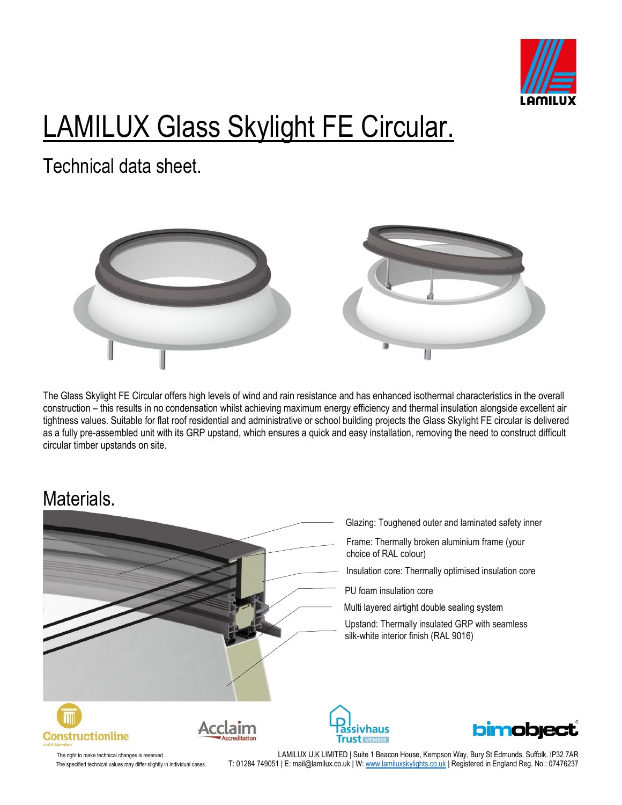

# LAMILUX Glass Skylight FE Circular.

Technical data sheet.



The Glass Skylight FE Circular offers high levels of wind and rain resistance and has enhanced isothermal characteristics in the overall construction – this results in no condensation whilst achieving maximum energy efficiency and thermal insulation alongside excellent air tightness values. Suitable for flat roof residential and administrative or school building projects the Glass Skylight FE circular is delivered as a fully pre-assembled unit with its GRP upstand, which ensures a quick and easy installation, removing the need to construct difficult circular timber upstands on site.

#### Materials.



The right to make technical changes is reserved. The served. The state of the CHMILUX U.K LIMITED | Suite 1 Beacon House, Kempson Way, Bury St Edmunds, Suffolk. IP32 7AR The specified technical values may differ slightly in individual cases. T: 01284 749051 | E: mail@lamilux.co.uk | W[: www.lamiluxskylights.co.uk](http://www.lamiluxskylights.co.uk/) | Registered in England Reg. No.: 07476237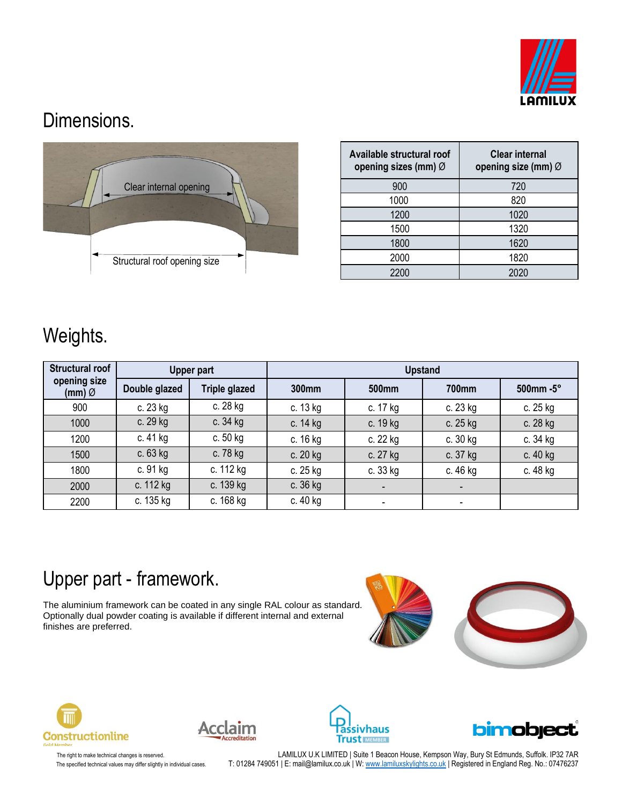

# Dimensions.



| Available structural roof<br>opening sizes (mm) $\varnothing$ | <b>Clear internal</b><br>opening size (mm) $\varnothing$ |  |  |  |  |
|---------------------------------------------------------------|----------------------------------------------------------|--|--|--|--|
| 900                                                           | 720                                                      |  |  |  |  |
| 1000                                                          | 820                                                      |  |  |  |  |
| 1200                                                          | 1020                                                     |  |  |  |  |
| 1500                                                          | 1320                                                     |  |  |  |  |
| 1800                                                          | 1620                                                     |  |  |  |  |
| 2000                                                          | 1820                                                     |  |  |  |  |
| 2200                                                          | 2020                                                     |  |  |  |  |

# Weights.

| <b>Structural roof</b><br>opening size<br>$(mm)$ $\varnothing$ | <b>Upper part</b> |               | <b>Upstand</b> |                |                |          |  |  |
|----------------------------------------------------------------|-------------------|---------------|----------------|----------------|----------------|----------|--|--|
|                                                                | Double glazed     | Triple glazed | $300$ mm       | 500mm          | 700mm          | 500mm-5° |  |  |
| 900                                                            | c. 23 kg          | c. 28 kg      | c. 13 kg       | c. 17 kg       | c. 23 kg       | c. 25 kg |  |  |
| 1000                                                           | c. 29 kg          | c. 34 kg      | c. 14 kg       | c. 19 kg       | c. 25 kg       | c. 28 kg |  |  |
| 1200                                                           | c. 41 kg          | c. 50 kg      | c. 16 kg       | c. 22 kg       | c. 30 kg       | c. 34 kg |  |  |
| 1500                                                           | c. 63 kg          | c. 78 kg      | c. 20 kg       | c. 27 kg       | c. 37 kg       | c. 40 kg |  |  |
| 1800                                                           | c. 91 kg          | c. 112 kg     | c. 25 kg       | c. 33 kg       | c. 46 kg       | c. 48 kg |  |  |
| 2000                                                           | c. 112 kg         | c. 139 kg     | c. 36 kg       |                | $\blacksquare$ |          |  |  |
| 2200                                                           | c. 135 kg         | c. 168 kg     | c. 40 kg       | $\blacksquare$ | ۰              |          |  |  |

# Upper part - framework.

The aluminium framework can be coated in any single RAL colour as standard. Optionally dual powder coating is available if different internal and external finishes are preferred.











The right to make technical changes is reserved. LAMILUX U.K LIMITED | Suite 1 Beacon House, Kempson Way, Bury St Edmunds, Suffolk. IP32 7AR The specified technical values may differ slightly in individual cases. T: 01284 749051 | E: mail@lamilux.co.uk | W: <u>www.lamiluxskylights.co.uk</u> | Registered in England Reg. No.: 07476237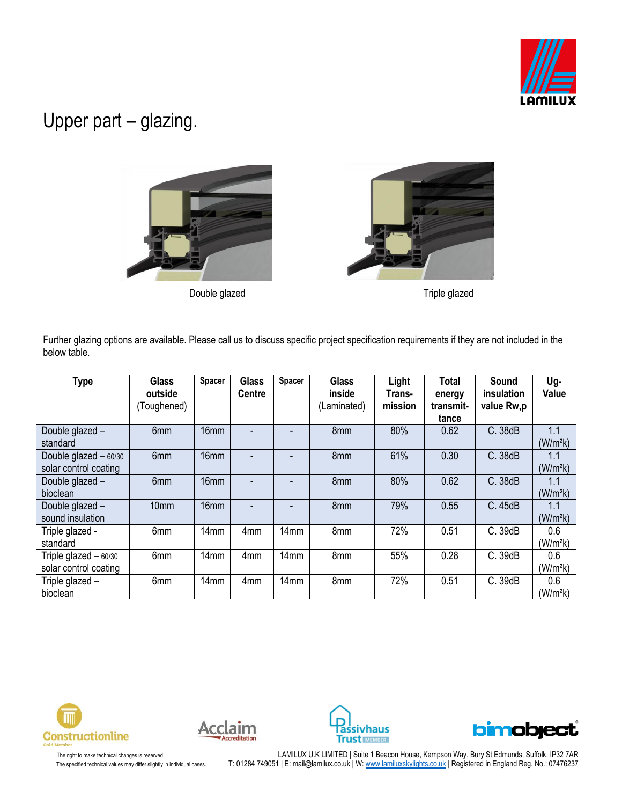

## Upper part – glazing.







Further glazing options are available. Please call us to discuss specific project specification requirements if they are not included in the below table.

| <b>Type</b>            | Glass<br>outside | <b>Spacer</b>    | Glass<br><b>Centre</b> | Spacer           | <b>Glass</b><br>inside | Light<br>Trans- | Total<br>energy | Sound<br>insulation | Ug-<br>Value         |
|------------------------|------------------|------------------|------------------------|------------------|------------------------|-----------------|-----------------|---------------------|----------------------|
|                        | (Toughened)      |                  |                        |                  | (Laminated)            | mission         | transmit-       | value Rw,p          |                      |
|                        |                  |                  |                        |                  |                        |                 | tance           |                     |                      |
| Double glazed -        | 6 <sub>mm</sub>  | 16 <sub>mm</sub> |                        |                  | 8mm                    | 80%             | 0.62            | C. 38dB             | 1.1                  |
| standard               |                  |                  |                        |                  |                        |                 |                 |                     | (W/m <sup>2</sup> k) |
| Double glazed $-60/30$ | 6mm              | 16mm             |                        |                  | 8mm                    | 61%             | 0.30            | C. 38dB             | 1.1                  |
| solar control coating  |                  |                  |                        |                  |                        |                 |                 |                     | (W/m <sup>2</sup> k) |
| Double glazed -        | 6mm              | 16mm             |                        |                  | 8mm                    | 80%             | 0.62            | C. 38dB             | 1.1                  |
| bioclean               |                  |                  |                        |                  |                        |                 |                 |                     | (W/m <sup>2</sup> k) |
| Double glazed -        | 10mm             | 16mm             |                        |                  | 8mm                    | 79%             | 0.55            | C. 45dB             | 1.1                  |
| sound insulation       |                  |                  |                        |                  |                        |                 |                 |                     | (W/m <sup>2</sup> k) |
| Triple glazed -        | 6mm              | 14mm             | 4mm                    | 14 <sub>mm</sub> | 8mm                    | 72%             | 0.51            | C. 39dB             | 0.6                  |
| standard               |                  |                  |                        |                  |                        |                 |                 |                     | (W/m <sup>2</sup> k) |
| Triple glazed $-60/30$ | 6mm              | 14mm             | 4 <sub>mm</sub>        | 14 <sub>mm</sub> | 8mm                    | 55%             | 0.28            | C. 39dB             | 0.6                  |
| solar control coating  |                  |                  |                        |                  |                        |                 |                 |                     | (W/m <sup>2</sup> k) |
| Triple glazed -        | 6mm              | 14mm             | 4mm                    | 14mm             | 8mm                    | 72%             | 0.51            | C. 39dB             | 0.6                  |
| bioclean               |                  |                  |                        |                  |                        |                 |                 |                     | (W/m <sup>2</sup> k) |









The right to make technical changes is reserved. LAMILUX U.K LIMITED | Suite 1 Beacon House, Kempson Way, Bury St Edmunds, Suffolk. IP32 7AR The specified technical values may differ slightly in individual cases. T: 01284 749051 | E: mail@lamilux.co.uk | W: <u>www.lamiluxskylights.co.uk</u> | Registered in England Reg. No.: 07476237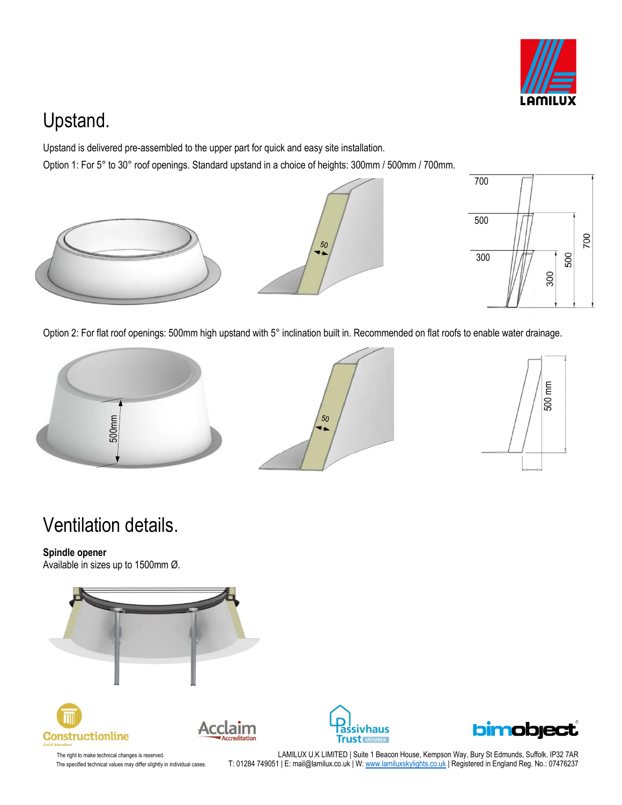

# Upstand.

Upstand is delivered pre-assembled to the upper part for quick and easy site installation. Option 1: For 5° to 30° roof openings. Standard upstand in a choice of heights: 300mm / 500mm / 700mm.



50



Option 2: For flat roof openings: 500mm high upstand with 5° inclination built in. Recommended on flat roofs to enable water drainage.







# Ventilation details.

#### **Spindle opener**

Available in sizes up to 1500mm Ø.









The right to make technical changes is reserved. LAMILUX U.K LIMITED | Suite 1 Beacon House, Kempson Way, Bury St Edmunds, Suffolk. IP32 7AR The specified technical values may differ slightly in individual cases. T: 01284 749051 | E: mail@lamilux.co.uk | W: <u>www.lamiluxskylights.co.uk</u> | Registered in England Reg. No.: 07476237